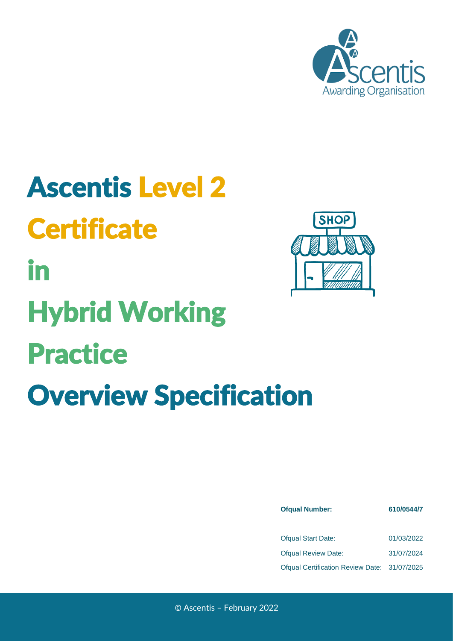

# Ascentis Level 2 **Certificate** in Hybrid Working Practice Overview Specification



| <b>Ofqual Number:</b>                        | 610/0544/7 |  |  |
|----------------------------------------------|------------|--|--|
|                                              |            |  |  |
| <b>Ofqual Start Date:</b>                    | 01/03/2022 |  |  |
| <b>Ofqual Review Date:</b>                   | 31/07/2024 |  |  |
| Ofqual Certification Review Date: 31/07/2025 |            |  |  |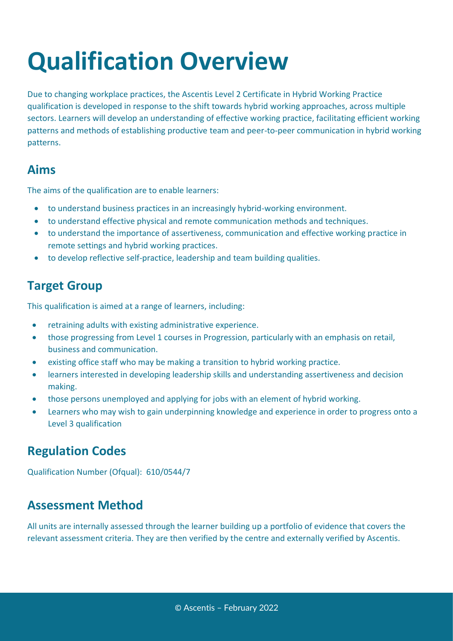## **Qualification Overview**

Due to changing workplace practices, the Ascentis Level 2 Certificate in Hybrid Working Practice qualification is developed in response to the shift towards hybrid working approaches, across multiple sectors. Learners will develop an understanding of effective working practice, facilitating efficient working patterns and methods of establishing productive team and peer-to-peer communication in hybrid working patterns.

#### **Aims**

The aims of the qualification are to enable learners:

- to understand business practices in an increasingly hybrid-working environment.
- to understand effective physical and remote communication methods and techniques.
- to understand the importance of assertiveness, communication and effective working practice in remote settings and hybrid working practices.
- to develop reflective self-practice, leadership and team building qualities.

#### **Target Group**

This qualification is aimed at a range of learners, including:

- retraining adults with existing administrative experience.
- those progressing from Level 1 courses in Progression, particularly with an emphasis on retail, business and communication.
- existing office staff who may be making a transition to hybrid working practice.
- learners interested in developing leadership skills and understanding assertiveness and decision making.
- those persons unemployed and applying for jobs with an element of hybrid working.
- Learners who may wish to gain underpinning knowledge and experience in order to progress onto a Level 3 qualification

### **Regulation Codes**

Qualification Number (Ofqual): 610/0544/7

### **Assessment Method**

All units are internally assessed through the learner building up a portfolio of evidence that covers the relevant assessment criteria. They are then verified by the centre and externally verified by Ascentis.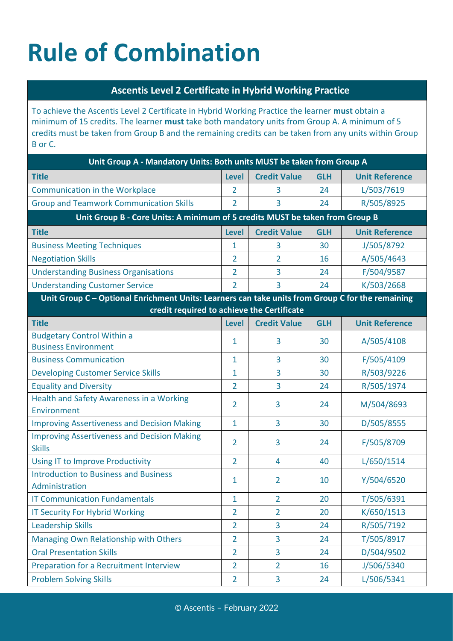## **Rule of Combination**

#### **Ascentis Level 2 Certificate in Hybrid Working Practice**

To achieve the Ascentis Level 2 Certificate in Hybrid Working Practice the learner **must** obtain a minimum of 15 credits. The learner **must** take both mandatory units from Group A. A minimum of 5 credits must be taken from Group B and the remaining credits can be taken from any units within Group B or C.

| Unit Group A - Mandatory Units: Both units MUST be taken from Group A                            |                |                     |            |                       |  |  |
|--------------------------------------------------------------------------------------------------|----------------|---------------------|------------|-----------------------|--|--|
| <b>Title</b>                                                                                     | <b>Level</b>   | <b>Credit Value</b> | <b>GLH</b> | <b>Unit Reference</b> |  |  |
| <b>Communication in the Workplace</b>                                                            | 2              | 3                   | 24         | L/503/7619            |  |  |
| <b>Group and Teamwork Communication Skills</b>                                                   | $\overline{2}$ | 3                   | 24         | R/505/8925            |  |  |
| Unit Group B - Core Units: A minimum of 5 credits MUST be taken from Group B                     |                |                     |            |                       |  |  |
| <b>Title</b>                                                                                     | <b>Level</b>   | <b>Credit Value</b> | <b>GLH</b> | <b>Unit Reference</b> |  |  |
| <b>Business Meeting Techniques</b>                                                               | 1              | 3                   | 30         | J/505/8792            |  |  |
| <b>Negotiation Skills</b>                                                                        | $\overline{2}$ | $\overline{2}$      | 16         | A/505/4643            |  |  |
| <b>Understanding Business Organisations</b>                                                      | $\overline{2}$ | 3                   | 24         | F/504/9587            |  |  |
| <b>Understanding Customer Service</b>                                                            | $\overline{2}$ | 3                   | 24         | K/503/2668            |  |  |
| Unit Group C - Optional Enrichment Units: Learners can take units from Group C for the remaining |                |                     |            |                       |  |  |
| credit required to achieve the Certificate                                                       |                |                     |            |                       |  |  |
| <b>Title</b>                                                                                     | <b>Level</b>   | <b>Credit Value</b> | <b>GLH</b> | <b>Unit Reference</b> |  |  |
| <b>Budgetary Control Within a</b><br><b>Business Environment</b>                                 | 1              | 3                   | 30         | A/505/4108            |  |  |
| <b>Business Communication</b>                                                                    | $\mathbf{1}$   | 3                   | 30         | F/505/4109            |  |  |
| <b>Developing Customer Service Skills</b>                                                        | 1              | 3                   | 30         | R/503/9226            |  |  |
| <b>Equality and Diversity</b>                                                                    | $\overline{2}$ | 3                   | 24         | R/505/1974            |  |  |
| <b>Health and Safety Awareness in a Working</b><br>Environment                                   | $\overline{2}$ | 3                   | 24         | M/504/8693            |  |  |
| <b>Improving Assertiveness and Decision Making</b>                                               | $\mathbf{1}$   | 3                   | 30         | D/505/8555            |  |  |
| <b>Improving Assertiveness and Decision Making</b><br><b>Skills</b>                              | $\overline{2}$ | 3                   | 24         | F/505/8709            |  |  |
| <b>Using IT to Improve Productivity</b>                                                          | $\overline{2}$ | 4                   | 40         | L/650/1514            |  |  |
| <b>Introduction to Business and Business</b><br>Administration                                   | 1              | 2                   | 10         | Y/504/6520            |  |  |
| <b>IT Communication Fundamentals</b>                                                             | 1              | $\overline{2}$      | 20         | T/505/6391            |  |  |
| <b>IT Security For Hybrid Working</b>                                                            | $\overline{2}$ | $\overline{2}$      | 20         | K/650/1513            |  |  |
| <b>Leadership Skills</b>                                                                         | $\overline{2}$ | 3                   | 24         | R/505/7192            |  |  |
| Managing Own Relationship with Others                                                            | $\overline{2}$ | 3                   | 24         | T/505/8917            |  |  |
| <b>Oral Presentation Skills</b>                                                                  | $\overline{2}$ | 3                   | 24         | D/504/9502            |  |  |
| Preparation for a Recruitment Interview                                                          | $\overline{2}$ | $\overline{2}$      | 16         | J/506/5340            |  |  |
| <b>Problem Solving Skills</b>                                                                    | $\overline{2}$ | $\overline{3}$      | 24         | L/506/5341            |  |  |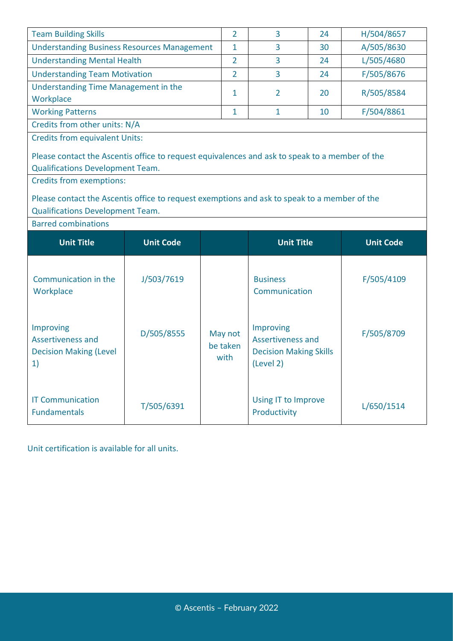| <b>Team Building Skills</b>                                                                                                             |                                                                               | $\overline{2}$ | 3                                   | 24         | H/504/8657       |  |  |  |
|-----------------------------------------------------------------------------------------------------------------------------------------|-------------------------------------------------------------------------------|----------------|-------------------------------------|------------|------------------|--|--|--|
|                                                                                                                                         | <b>Understanding Business Resources Management</b><br>$\mathbf{1}$<br>3<br>30 |                |                                     | A/505/8630 |                  |  |  |  |
| <b>Understanding Mental Health</b><br>$\overline{2}$<br>3<br>24                                                                         |                                                                               |                |                                     |            | L/505/4680       |  |  |  |
| <b>Understanding Team Motivation</b><br>$\overline{2}$<br>3<br>24                                                                       |                                                                               |                |                                     |            | F/505/8676       |  |  |  |
| Understanding Time Management in the                                                                                                    |                                                                               | $\overline{2}$ | 20                                  | R/505/8584 |                  |  |  |  |
| 1<br>Workplace                                                                                                                          |                                                                               |                |                                     |            |                  |  |  |  |
| <b>Working Patterns</b><br>$\mathbf{1}$<br>$\mathbf{1}$<br>10                                                                           |                                                                               |                |                                     |            | F/504/8861       |  |  |  |
| Credits from other units: N/A                                                                                                           |                                                                               |                |                                     |            |                  |  |  |  |
| <b>Credits from equivalent Units:</b>                                                                                                   |                                                                               |                |                                     |            |                  |  |  |  |
| Please contact the Ascentis office to request equivalences and ask to speak to a member of the                                          |                                                                               |                |                                     |            |                  |  |  |  |
| <b>Qualifications Development Team.</b>                                                                                                 |                                                                               |                |                                     |            |                  |  |  |  |
| <b>Credits from exemptions:</b>                                                                                                         |                                                                               |                |                                     |            |                  |  |  |  |
|                                                                                                                                         |                                                                               |                |                                     |            |                  |  |  |  |
| Please contact the Ascentis office to request exemptions and ask to speak to a member of the<br><b>Qualifications Development Team.</b> |                                                                               |                |                                     |            |                  |  |  |  |
|                                                                                                                                         |                                                                               |                |                                     |            |                  |  |  |  |
| <b>Barred combinations</b>                                                                                                              |                                                                               |                |                                     |            |                  |  |  |  |
| <b>Unit Title</b>                                                                                                                       | <b>Unit Code</b>                                                              |                | <b>Unit Title</b>                   |            | <b>Unit Code</b> |  |  |  |
|                                                                                                                                         |                                                                               |                |                                     |            |                  |  |  |  |
|                                                                                                                                         |                                                                               |                |                                     |            |                  |  |  |  |
|                                                                                                                                         |                                                                               |                |                                     |            |                  |  |  |  |
| Communication in the                                                                                                                    | J/503/7619                                                                    |                | <b>Business</b>                     |            | F/505/4109       |  |  |  |
| Workplace                                                                                                                               |                                                                               |                | Communication                       |            |                  |  |  |  |
|                                                                                                                                         |                                                                               |                |                                     |            |                  |  |  |  |
| Improving                                                                                                                               |                                                                               |                | Improving                           |            |                  |  |  |  |
| <b>Assertiveness and</b>                                                                                                                | D/505/8555                                                                    | May not        | Assertiveness and                   |            | F/505/8709       |  |  |  |
| <b>Decision Making (Level</b>                                                                                                           |                                                                               | be taken       | <b>Decision Making Skills</b>       |            |                  |  |  |  |
| 1)                                                                                                                                      |                                                                               | with           | (Level 2)                           |            |                  |  |  |  |
|                                                                                                                                         |                                                                               |                |                                     |            |                  |  |  |  |
|                                                                                                                                         |                                                                               |                |                                     |            |                  |  |  |  |
| <b>IT Communication</b><br><b>Fundamentals</b>                                                                                          | T/505/6391                                                                    |                | Using IT to Improve<br>Productivity |            | L/650/1514       |  |  |  |

Unit certification is available for all units.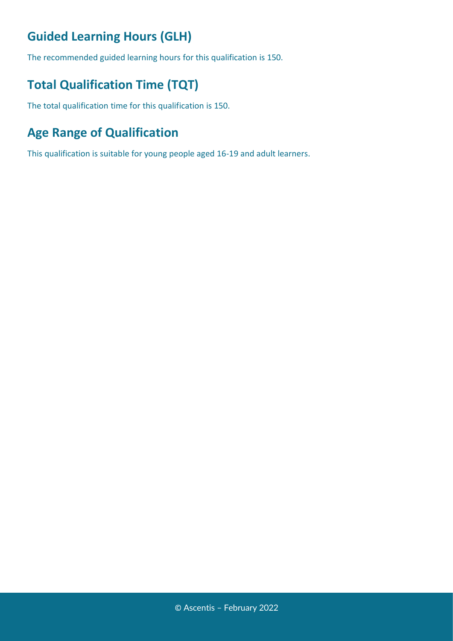### **Guided Learning Hours (GLH)**

The recommended guided learning hours for this qualification is 150.

### **Total Qualification Time (TQT)**

The total qualification time for this qualification is 150.

### **Age Range of Qualification**

This qualification is suitable for young people aged 16-19 and adult learners.